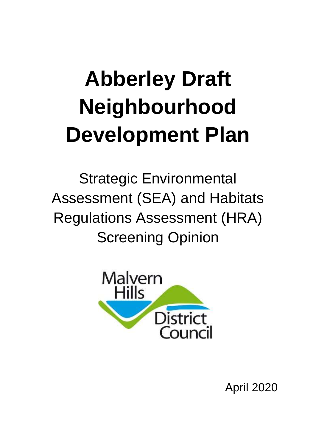# **Abberley Draft Neighbourhood Development Plan**

Strategic Environmental Assessment (SEA) and Habitats Regulations Assessment (HRA) Screening Opinion



April 2020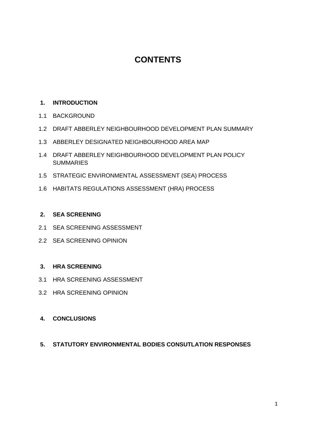# **CONTENTS**

#### **1. INTRODUCTION**

- 1.1 BACKGROUND
- 1.2 DRAFT ABBERLEY NEIGHBOURHOOD DEVELOPMENT PLAN SUMMARY
- 1.3 ABBERLEY DESIGNATED NEIGHBOURHOOD AREA MAP
- 1.4 DRAFT ABBERLEY NEIGHBOURHOOD DEVELOPMENT PLAN POLICY **SUMMARIES**
- 1.5 STRATEGIC ENVIRONMENTAL ASSESSMENT (SEA) PROCESS
- 1.6 HABITATS REGULATIONS ASSESSMENT (HRA) PROCESS

#### **2. SEA SCREENING**

- 2.1 SEA SCREENING ASSESSMENT
- 2.2 SEA SCREENING OPINION

#### **3. HRA SCREENING**

- 3.1 HRA SCREENING ASSESSMENT
- 3.2 HRA SCREENING OPINION
- **4. CONCLUSIONS**
- **5. STATUTORY ENVIRONMENTAL BODIES CONSUTLATION RESPONSES**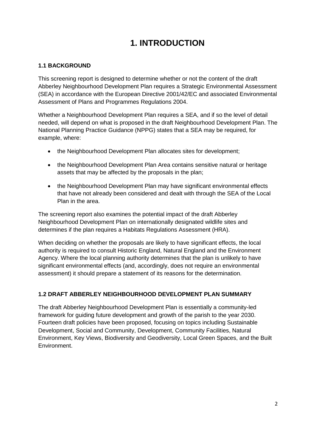# **1. INTRODUCTION**

## **1.1 BACKGROUND**

This screening report is designed to determine whether or not the content of the draft Abberley Neighbourhood Development Plan requires a Strategic Environmental Assessment (SEA) in accordance with the European Directive 2001/42/EC and associated Environmental Assessment of Plans and Programmes Regulations 2004.

Whether a Neighbourhood Development Plan requires a SEA, and if so the level of detail needed, will depend on what is proposed in the draft Neighbourhood Development Plan. The National Planning Practice Guidance (NPPG) states that a SEA may be required, for example, where:

- the Neighbourhood Development Plan allocates sites for development:
- the Neighbourhood Development Plan Area contains sensitive natural or heritage assets that may be affected by the proposals in the plan;
- the Neighbourhood Development Plan may have significant environmental effects that have not already been considered and dealt with through the SEA of the Local Plan in the area.

The screening report also examines the potential impact of the draft Abberley Neighbourhood Development Plan on internationally designated wildlife sites and determines if the plan requires a Habitats Regulations Assessment (HRA).

When deciding on whether the proposals are likely to have significant effects, the local authority is required to consult Historic England, Natural England and the Environment Agency. Where the local planning authority determines that the plan is unlikely to have significant environmental effects (and, accordingly, does not require an environmental assessment) it should prepare a statement of its reasons for the determination.

### **1.2 DRAFT ABBERLEY NEIGHBOURHOOD DEVELOPMENT PLAN SUMMARY**

The draft Abberley Neighbourhood Development Plan is essentially a community-led framework for guiding future development and growth of the parish to the year 2030. Fourteen draft policies have been proposed, focusing on topics including Sustainable Development, Social and Community, Development, Community Facilities, Natural Environment, Key Views, Biodiversity and Geodiversity, Local Green Spaces, and the Built Environment.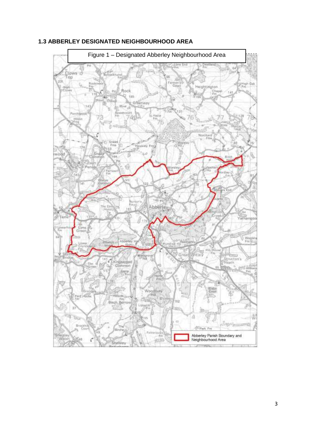

### **1.3 ABBERLEY DESIGNATED NEIGHBOURHOOD AREA**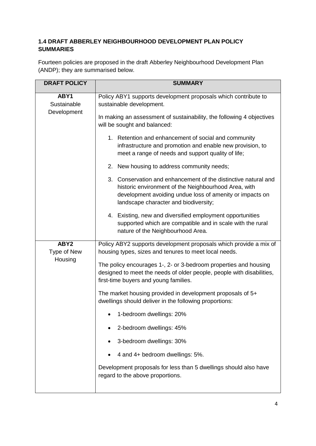# **1.4 DRAFT ABBERLEY NEIGHBOURHOOD DEVELOPMENT PLAN POLICY SUMMARIES**

Fourteen policies are proposed in the draft Abberley Neighbourhood Development Plan (ANDP); they are summarised below.

| <b>DRAFT POLICY</b>             | <b>SUMMARY</b>                                                                                                                                                                                                              |  |  |  |
|---------------------------------|-----------------------------------------------------------------------------------------------------------------------------------------------------------------------------------------------------------------------------|--|--|--|
| ABY1<br>Sustainable             | Policy ABY1 supports development proposals which contribute to<br>sustainable development.                                                                                                                                  |  |  |  |
| Development                     | In making an assessment of sustainability, the following 4 objectives<br>will be sought and balanced:                                                                                                                       |  |  |  |
|                                 | 1. Retention and enhancement of social and community<br>infrastructure and promotion and enable new provision, to<br>meet a range of needs and support quality of life;                                                     |  |  |  |
|                                 | 2. New housing to address community needs;                                                                                                                                                                                  |  |  |  |
|                                 | 3. Conservation and enhancement of the distinctive natural and<br>historic environment of the Neighbourhood Area, with<br>development avoiding undue loss of amenity or impacts on<br>landscape character and biodiversity; |  |  |  |
|                                 | 4. Existing, new and diversified employment opportunities<br>supported which are compatible and in scale with the rural<br>nature of the Neighbourhood Area.                                                                |  |  |  |
| ABY <sub>2</sub><br>Type of New | Policy ABY2 supports development proposals which provide a mix of<br>housing types, sizes and tenures to meet local needs.                                                                                                  |  |  |  |
| Housing                         | The policy encourages 1-, 2- or 3-bedroom properties and housing<br>designed to meet the needs of older people, people with disabilities,<br>first-time buyers and young families.                                          |  |  |  |
|                                 | The market housing provided in development proposals of 5+<br>dwellings should deliver in the following proportions:                                                                                                        |  |  |  |
|                                 | 1-bedroom dwellings: 20%                                                                                                                                                                                                    |  |  |  |
|                                 | 2-bedroom dwellings: 45%                                                                                                                                                                                                    |  |  |  |
|                                 | 3-bedroom dwellings: 30%                                                                                                                                                                                                    |  |  |  |
|                                 | 4 and 4+ bedroom dwellings: 5%.                                                                                                                                                                                             |  |  |  |
|                                 | Development proposals for less than 5 dwellings should also have<br>regard to the above proportions.                                                                                                                        |  |  |  |
|                                 |                                                                                                                                                                                                                             |  |  |  |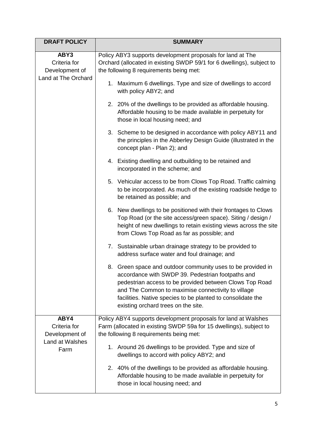| <b>DRAFT POLICY</b>                                           | <b>SUMMARY</b>                                                                                                                                                                                                                                                                                                                          |  |  |
|---------------------------------------------------------------|-----------------------------------------------------------------------------------------------------------------------------------------------------------------------------------------------------------------------------------------------------------------------------------------------------------------------------------------|--|--|
| ABY3<br>Criteria for<br>Development of<br>Land at The Orchard | Policy ABY3 supports development proposals for land at The<br>Orchard (allocated in existing SWDP 59/1 for 6 dwellings), subject to<br>the following 8 requirements being met:                                                                                                                                                          |  |  |
|                                                               | 1. Maximum 6 dwellings. Type and size of dwellings to accord<br>with policy ABY2; and                                                                                                                                                                                                                                                   |  |  |
|                                                               | 2. 20% of the dwellings to be provided as affordable housing.<br>Affordable housing to be made available in perpetuity for<br>those in local housing need; and                                                                                                                                                                          |  |  |
|                                                               | 3. Scheme to be designed in accordance with policy ABY11 and<br>the principles in the Abberley Design Guide (illustrated in the<br>concept plan - Plan 2); and                                                                                                                                                                          |  |  |
|                                                               | 4. Existing dwelling and outbuilding to be retained and<br>incorporated in the scheme; and                                                                                                                                                                                                                                              |  |  |
|                                                               | 5. Vehicular access to be from Clows Top Road. Traffic calming<br>to be incorporated. As much of the existing roadside hedge to<br>be retained as possible; and                                                                                                                                                                         |  |  |
|                                                               | 6. New dwellings to be positioned with their frontages to Clows<br>Top Road (or the site access/green space). Siting / design /<br>height of new dwellings to retain existing views across the site<br>from Clows Top Road as far as possible; and                                                                                      |  |  |
|                                                               | 7. Sustainable urban drainage strategy to be provided to<br>address surface water and foul drainage; and                                                                                                                                                                                                                                |  |  |
|                                                               | 8. Green space and outdoor community uses to be provided in<br>accordance with SWDP 39. Pedestrian footpaths and<br>pedestrian access to be provided between Clows Top Road<br>and The Common to maximise connectivity to village<br>facilities. Native species to be planted to consolidate the<br>existing orchard trees on the site. |  |  |
| ABY4<br>Criteria for                                          | Policy ABY4 supports development proposals for land at Walshes<br>Farm (allocated in existing SWDP 59a for 15 dwellings), subject to                                                                                                                                                                                                    |  |  |
| Development of                                                | the following 8 requirements being met:                                                                                                                                                                                                                                                                                                 |  |  |
| Land at Walshes<br>Farm                                       | 1. Around 26 dwellings to be provided. Type and size of<br>dwellings to accord with policy ABY2; and                                                                                                                                                                                                                                    |  |  |
|                                                               | 2. 40% of the dwellings to be provided as affordable housing.<br>Affordable housing to be made available in perpetuity for<br>those in local housing need; and                                                                                                                                                                          |  |  |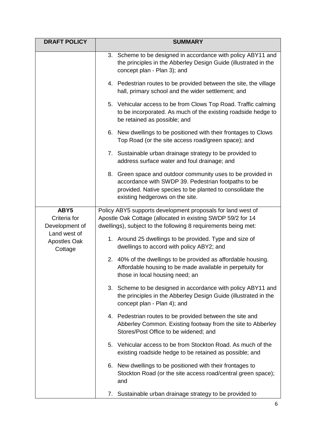| <b>DRAFT POLICY</b>                     | <b>SUMMARY</b>                                                                                                                                                                                                     |  |  |  |  |
|-----------------------------------------|--------------------------------------------------------------------------------------------------------------------------------------------------------------------------------------------------------------------|--|--|--|--|
|                                         | 3. Scheme to be designed in accordance with policy ABY11 and<br>the principles in the Abberley Design Guide (illustrated in the<br>concept plan - Plan 3); and                                                     |  |  |  |  |
|                                         | 4. Pedestrian routes to be provided between the site, the village<br>hall, primary school and the wider settlement; and                                                                                            |  |  |  |  |
|                                         | 5. Vehicular access to be from Clows Top Road. Traffic calming<br>to be incorporated. As much of the existing roadside hedge to<br>be retained as possible; and                                                    |  |  |  |  |
|                                         | 6. New dwellings to be positioned with their frontages to Clows<br>Top Road (or the site access road/green space); and                                                                                             |  |  |  |  |
|                                         | 7. Sustainable urban drainage strategy to be provided to<br>address surface water and foul drainage; and                                                                                                           |  |  |  |  |
|                                         | 8. Green space and outdoor community uses to be provided in<br>accordance with SWDP 39. Pedestrian footpaths to be<br>provided. Native species to be planted to consolidate the<br>existing hedgerows on the site. |  |  |  |  |
| ABY5                                    | Policy ABY5 supports development proposals for land west of                                                                                                                                                        |  |  |  |  |
| Criteria for<br>Development of          | Apostle Oak Cottage (allocated in existing SWDP 59/2 for 14<br>dwellings), subject to the following 8 requirements being met:                                                                                      |  |  |  |  |
| Land west of<br>Apostles Oak<br>Cottage | 1. Around 25 dwellings to be provided. Type and size of<br>dwellings to accord with policy ABY2; and                                                                                                               |  |  |  |  |
|                                         | 2. 40% of the dwellings to be provided as affordable housing.<br>Affordable housing to be made available in perpetuity for<br>those in local housing need; an                                                      |  |  |  |  |
|                                         | 3. Scheme to be designed in accordance with policy ABY11 and<br>the principles in the Abberley Design Guide (illustrated in the<br>concept plan - Plan 4); and                                                     |  |  |  |  |
|                                         | 4. Pedestrian routes to be provided between the site and<br>Abberley Common. Existing footway from the site to Abberley<br>Stores/Post Office to be widened; and                                                   |  |  |  |  |
|                                         | 5. Vehicular access to be from Stockton Road. As much of the<br>existing roadside hedge to be retained as possible; and                                                                                            |  |  |  |  |
|                                         | 6. New dwellings to be positioned with their frontages to<br>Stockton Road (or the site access road/central green space);<br>and                                                                                   |  |  |  |  |
|                                         | Sustainable urban drainage strategy to be provided to<br>7.                                                                                                                                                        |  |  |  |  |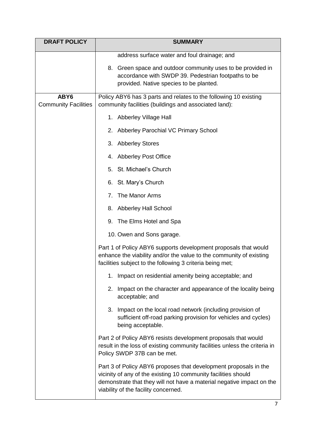| <b>DRAFT POLICY</b>                 | <b>SUMMARY</b>                                                                                                                                                                                                                                      |  |  |
|-------------------------------------|-----------------------------------------------------------------------------------------------------------------------------------------------------------------------------------------------------------------------------------------------------|--|--|
|                                     | address surface water and foul drainage; and                                                                                                                                                                                                        |  |  |
|                                     | 8. Green space and outdoor community uses to be provided in<br>accordance with SWDP 39. Pedestrian footpaths to be<br>provided. Native species to be planted.                                                                                       |  |  |
| ABY6<br><b>Community Facilities</b> | Policy ABY6 has 3 parts and relates to the following 10 existing<br>community facilities (buildings and associated land):                                                                                                                           |  |  |
|                                     | 1. Abberley Village Hall                                                                                                                                                                                                                            |  |  |
|                                     | Abberley Parochial VC Primary School<br>2.                                                                                                                                                                                                          |  |  |
|                                     | 3. Abberley Stores                                                                                                                                                                                                                                  |  |  |
|                                     | 4. Abberley Post Office                                                                                                                                                                                                                             |  |  |
|                                     | 5. St. Michael's Church                                                                                                                                                                                                                             |  |  |
|                                     | 6. St. Mary's Church                                                                                                                                                                                                                                |  |  |
|                                     | The Manor Arms<br>7.                                                                                                                                                                                                                                |  |  |
|                                     | 8. Abberley Hall School                                                                                                                                                                                                                             |  |  |
|                                     | 9. The Elms Hotel and Spa                                                                                                                                                                                                                           |  |  |
|                                     | 10. Owen and Sons garage.                                                                                                                                                                                                                           |  |  |
|                                     | Part 1 of Policy ABY6 supports development proposals that would<br>enhance the viability and/or the value to the community of existing<br>facilities subject to the following 3 criteria being met;                                                 |  |  |
|                                     | 1. Impact on residential amenity being acceptable; and                                                                                                                                                                                              |  |  |
|                                     | Impact on the character and appearance of the locality being<br>2.<br>acceptable; and                                                                                                                                                               |  |  |
|                                     | 3.<br>Impact on the local road network (including provision of<br>sufficient off-road parking provision for vehicles and cycles)<br>being acceptable.                                                                                               |  |  |
|                                     | Part 2 of Policy ABY6 resists development proposals that would<br>result in the loss of existing community facilities unless the criteria in<br>Policy SWDP 37B can be met.                                                                         |  |  |
|                                     | Part 3 of Policy ABY6 proposes that development proposals in the<br>vicinity of any of the existing 10 community facilities should<br>demonstrate that they will not have a material negative impact on the<br>viability of the facility concerned. |  |  |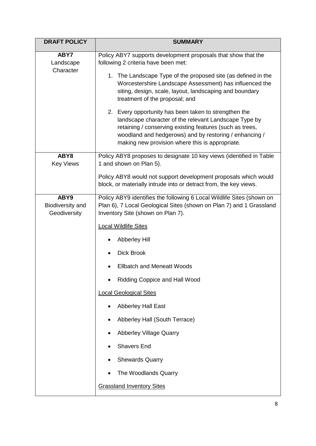| <b>DRAFT POLICY</b>                      | <b>SUMMARY</b>                                                                                                                                                                                                                                                                                                                                                                                                                                                                                                                                                                                                           |  |  |  |
|------------------------------------------|--------------------------------------------------------------------------------------------------------------------------------------------------------------------------------------------------------------------------------------------------------------------------------------------------------------------------------------------------------------------------------------------------------------------------------------------------------------------------------------------------------------------------------------------------------------------------------------------------------------------------|--|--|--|
| ABY7<br>Landscape<br>Character           | Policy ABY7 supports development proposals that show that the<br>following 2 criteria have been met:<br>1. The Landscape Type of the proposed site (as defined in the<br>Worcestershire Landscape Assessment) has influenced the<br>siting, design, scale, layout, landscaping and boundary<br>treatment of the proposal; and<br>2. Every opportunity has been taken to strengthen the<br>landscape character of the relevant Landscape Type by<br>retaining / conserving existing features (such as trees,<br>woodland and hedgerows) and by restoring / enhancing /<br>making new provision where this is appropriate. |  |  |  |
| ABY8<br><b>Key Views</b>                 | Policy ABY8 proposes to designate 10 key views (identified in Table<br>1 and shown on Plan 5).                                                                                                                                                                                                                                                                                                                                                                                                                                                                                                                           |  |  |  |
|                                          | Policy ABY8 would not support development proposals which would<br>block, or materially intrude into or detract from, the key views.                                                                                                                                                                                                                                                                                                                                                                                                                                                                                     |  |  |  |
| ABY9<br>Biodiversity and<br>Geodiversity | Policy ABY9 identifies the following 6 Local Wildlife Sites (shown on<br>Plan 6), 7 Local Geological Sites (shown on Plan 7) and 1 Grassland<br>Inventory Site (shown on Plan 7).                                                                                                                                                                                                                                                                                                                                                                                                                                        |  |  |  |
|                                          | <b>Local Wildlife Sites</b>                                                                                                                                                                                                                                                                                                                                                                                                                                                                                                                                                                                              |  |  |  |
|                                          | <b>Abberley Hill</b>                                                                                                                                                                                                                                                                                                                                                                                                                                                                                                                                                                                                     |  |  |  |
|                                          | <b>Dick Brook</b>                                                                                                                                                                                                                                                                                                                                                                                                                                                                                                                                                                                                        |  |  |  |
|                                          | <b>Ellbatch and Meneatt Woods</b>                                                                                                                                                                                                                                                                                                                                                                                                                                                                                                                                                                                        |  |  |  |
|                                          | Ridding Coppice and Hall Wood                                                                                                                                                                                                                                                                                                                                                                                                                                                                                                                                                                                            |  |  |  |
|                                          | <b>Local Geological Sites</b>                                                                                                                                                                                                                                                                                                                                                                                                                                                                                                                                                                                            |  |  |  |
|                                          | <b>Abberley Hall East</b><br>$\bullet$                                                                                                                                                                                                                                                                                                                                                                                                                                                                                                                                                                                   |  |  |  |
|                                          | Abberley Hall (South Terrace)<br>$\bullet$                                                                                                                                                                                                                                                                                                                                                                                                                                                                                                                                                                               |  |  |  |
|                                          | <b>Abberley Village Quarry</b><br>$\bullet$                                                                                                                                                                                                                                                                                                                                                                                                                                                                                                                                                                              |  |  |  |
|                                          | <b>Shavers End</b>                                                                                                                                                                                                                                                                                                                                                                                                                                                                                                                                                                                                       |  |  |  |
|                                          | <b>Shewards Quarry</b><br>$\bullet$                                                                                                                                                                                                                                                                                                                                                                                                                                                                                                                                                                                      |  |  |  |
|                                          | The Woodlands Quarry                                                                                                                                                                                                                                                                                                                                                                                                                                                                                                                                                                                                     |  |  |  |
|                                          | <b>Grassland Inventory Sites</b>                                                                                                                                                                                                                                                                                                                                                                                                                                                                                                                                                                                         |  |  |  |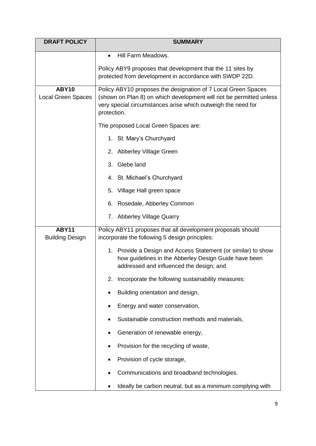| <b>DRAFT POLICY</b>                    | <b>SUMMARY</b>                                                                                                                                                                                                      |  |  |  |  |
|----------------------------------------|---------------------------------------------------------------------------------------------------------------------------------------------------------------------------------------------------------------------|--|--|--|--|
|                                        | Hill Farm Meadows.<br>$\bullet$                                                                                                                                                                                     |  |  |  |  |
|                                        | Policy ABY9 proposes that development that the 11 sites by<br>protected from development in accordance with SWDP 22D.                                                                                               |  |  |  |  |
| <b>ABY10</b><br>Local Green Spaces     | Policy ABY10 proposes the designation of 7 Local Green Spaces<br>(shown on Plan 8) on which development will not be permitted unless<br>very special circumstances arise which outweigh the need for<br>protection. |  |  |  |  |
|                                        | The proposed Local Green Spaces are:                                                                                                                                                                                |  |  |  |  |
|                                        | 1. St. Mary's Churchyard                                                                                                                                                                                            |  |  |  |  |
|                                        | 2. Abberley Village Green                                                                                                                                                                                           |  |  |  |  |
|                                        | 3. Glebe land                                                                                                                                                                                                       |  |  |  |  |
|                                        | 4. St. Michael's Churchyard                                                                                                                                                                                         |  |  |  |  |
|                                        | Village Hall green space<br>5.                                                                                                                                                                                      |  |  |  |  |
|                                        | Rosedale, Abberley Common<br>6.                                                                                                                                                                                     |  |  |  |  |
|                                        | 7. Abberley Village Quarry                                                                                                                                                                                          |  |  |  |  |
| <b>ABY11</b><br><b>Building Design</b> | Policy ABY11 proposes that all development proposals should<br>incorporate the following 5 design principles:                                                                                                       |  |  |  |  |
|                                        | 1. Provide a Design and Access Statement (or similar) to show<br>how guidelines in the Abberley Design Guide have been<br>addressed and influenced the design; and                                                  |  |  |  |  |
|                                        | Incorporate the following sustainability measures:<br>2.                                                                                                                                                            |  |  |  |  |
|                                        | Building orientation and design,<br>$\bullet$                                                                                                                                                                       |  |  |  |  |
|                                        | Energy and water conservation,<br>٠                                                                                                                                                                                 |  |  |  |  |
|                                        | Sustainable construction methods and materials,                                                                                                                                                                     |  |  |  |  |
|                                        | Generation of renewable energy,                                                                                                                                                                                     |  |  |  |  |
|                                        | Provision for the recycling of waste,<br>٠                                                                                                                                                                          |  |  |  |  |
|                                        | Provision of cycle storage,                                                                                                                                                                                         |  |  |  |  |
|                                        | Communications and broadband technologies.                                                                                                                                                                          |  |  |  |  |
|                                        | Ideally be carbon neutral, but as a minimum complying with                                                                                                                                                          |  |  |  |  |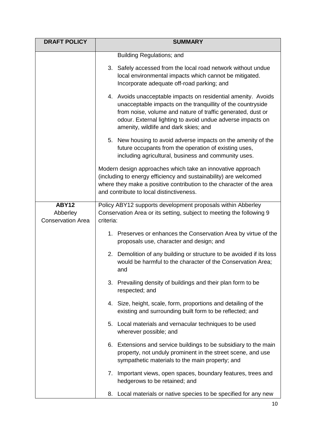| <b>DRAFT POLICY</b>                                  | <b>SUMMARY</b>                                                                                                                                                                                                                                                                                     |  |  |  |  |
|------------------------------------------------------|----------------------------------------------------------------------------------------------------------------------------------------------------------------------------------------------------------------------------------------------------------------------------------------------------|--|--|--|--|
|                                                      | Building Regulations; and                                                                                                                                                                                                                                                                          |  |  |  |  |
|                                                      | 3. Safely accessed from the local road network without undue<br>local environmental impacts which cannot be mitigated.<br>Incorporate adequate off-road parking; and                                                                                                                               |  |  |  |  |
|                                                      | 4. Avoids unacceptable impacts on residential amenity. Avoids<br>unacceptable impacts on the tranquillity of the countryside<br>from noise, volume and nature of traffic generated, dust or<br>odour. External lighting to avoid undue adverse impacts on<br>amenity, wildlife and dark skies; and |  |  |  |  |
|                                                      | 5. New housing to avoid adverse impacts on the amenity of the<br>future occupants from the operation of existing uses,<br>including agricultural, business and community uses.                                                                                                                     |  |  |  |  |
|                                                      | Modern design approaches which take an innovative approach<br>(including to energy efficiency and sustainability) are welcomed<br>where they make a positive contribution to the character of the area<br>and contribute to local distinctiveness.                                                 |  |  |  |  |
| <b>ABY12</b><br>Abberley<br><b>Conservation Area</b> | Policy ABY12 supports development proposals within Abberley<br>Conservation Area or its setting, subject to meeting the following 9<br>criteria:                                                                                                                                                   |  |  |  |  |
|                                                      | 1. Preserves or enhances the Conservation Area by virtue of the<br>proposals use, character and design; and                                                                                                                                                                                        |  |  |  |  |
|                                                      | Demolition of any building or structure to be avoided if its loss<br>2.<br>would be harmful to the character of the Conservation Area;<br>and                                                                                                                                                      |  |  |  |  |
|                                                      | 3. Prevailing density of buildings and their plan form to be<br>respected; and                                                                                                                                                                                                                     |  |  |  |  |
|                                                      | 4. Size, height, scale, form, proportions and detailing of the<br>existing and surrounding built form to be reflected; and                                                                                                                                                                         |  |  |  |  |
|                                                      | 5. Local materials and vernacular techniques to be used<br>wherever possible; and                                                                                                                                                                                                                  |  |  |  |  |
|                                                      | 6. Extensions and service buildings to be subsidiary to the main<br>property, not unduly prominent in the street scene, and use<br>sympathetic materials to the main property; and                                                                                                                 |  |  |  |  |
|                                                      | Important views, open spaces, boundary features, trees and<br>7.<br>hedgerows to be retained; and                                                                                                                                                                                                  |  |  |  |  |
|                                                      | Local materials or native species to be specified for any new<br>8.                                                                                                                                                                                                                                |  |  |  |  |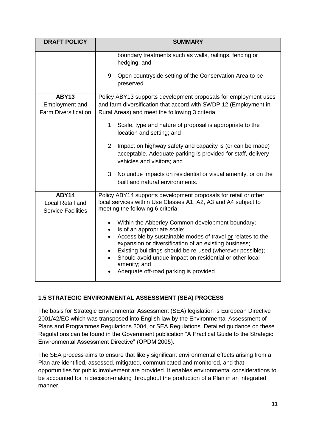| <b>DRAFT POLICY</b>                                           | <b>SUMMARY</b>                                                                                                                                                                                                                                                                                                                                                                                                                                                                                                      |  |  |  |  |
|---------------------------------------------------------------|---------------------------------------------------------------------------------------------------------------------------------------------------------------------------------------------------------------------------------------------------------------------------------------------------------------------------------------------------------------------------------------------------------------------------------------------------------------------------------------------------------------------|--|--|--|--|
|                                                               | boundary treatments such as walls, railings, fencing or<br>hedging; and                                                                                                                                                                                                                                                                                                                                                                                                                                             |  |  |  |  |
|                                                               | 9. Open countryside setting of the Conservation Area to be<br>preserved.                                                                                                                                                                                                                                                                                                                                                                                                                                            |  |  |  |  |
| <b>ABY13</b><br>Employment and<br><b>Farm Diversification</b> | Policy ABY13 supports development proposals for employment uses<br>and farm diversification that accord with SWDP 12 (Employment in<br>Rural Areas) and meet the following 3 criteria:<br>1. Scale, type and nature of proposal is appropriate to the<br>location and setting; and<br>2. Impact on highway safety and capacity is (or can be made)<br>acceptable. Adequate parking is provided for staff, delivery<br>vehicles and visitors; and<br>3. No undue impacts on residential or visual amenity, or on the |  |  |  |  |
|                                                               | built and natural environments.                                                                                                                                                                                                                                                                                                                                                                                                                                                                                     |  |  |  |  |
| ABY14<br>Local Retail and<br><b>Service Facilities</b>        | Policy ABY14 supports development proposals for retail or other<br>local services within Use Classes A1, A2, A3 and A4 subject to<br>meeting the following 6 criteria:<br>Within the Abberley Common development boundary;<br>Is of an appropriate scale;<br>$\bullet$<br>Accessible by sustainable modes of travel or relates to the<br>$\bullet$<br>expansion or diversification of an existing business;<br>Existing buildings should be re-used (wherever possible);                                            |  |  |  |  |
|                                                               | Should avoid undue impact on residential or other local<br>$\bullet$<br>amenity; and<br>Adequate off-road parking is provided                                                                                                                                                                                                                                                                                                                                                                                       |  |  |  |  |

# **1.5 STRATEGIC ENVIRONMENTAL ASSESSMENT (SEA) PROCESS**

The basis for Strategic Environmental Assessment (SEA) legislation is European Directive 2001/42/EC which was transposed into English law by the Environmental Assessment of Plans and Programmes Regulations 2004, or SEA Regulations. Detailed guidance on these Regulations can be found in the Government publication "A Practical Guide to the Strategic Environmental Assessment Directive" (OPDM 2005).

The SEA process aims to ensure that likely significant environmental effects arising from a Plan are identified, assessed, mitigated, communicated and monitored, and that opportunities for public involvement are provided. It enables environmental considerations to be accounted for in decision-making throughout the production of a Plan in an integrated manner.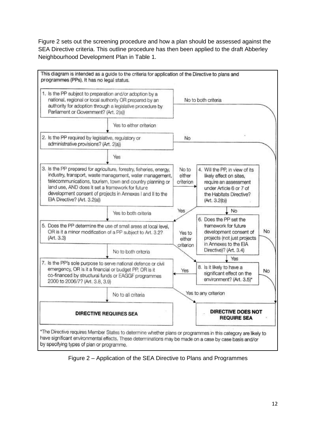Figure 2 sets out the screening procedure and how a plan should be assessed against the SEA Directive criteria. This outline procedure has then been applied to the draft Abberley Neighbourhood Development Plan in Table 1.



Figure 2 – Application of the SEA Directive to Plans and Programmes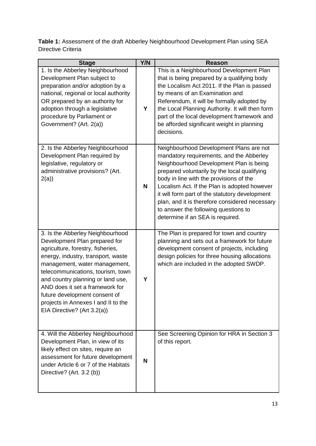**Table 1:** Assessment of the draft Abberley Neighbourhood Development Plan using SEA Directive Criteria

| <b>Stage</b>                                                                                                                                                                                                                                                                                                                                                                                      | Y/N | <b>Reason</b>                                                                                                                                                                                                                                                                                                                                                                                                                                             |
|---------------------------------------------------------------------------------------------------------------------------------------------------------------------------------------------------------------------------------------------------------------------------------------------------------------------------------------------------------------------------------------------------|-----|-----------------------------------------------------------------------------------------------------------------------------------------------------------------------------------------------------------------------------------------------------------------------------------------------------------------------------------------------------------------------------------------------------------------------------------------------------------|
| 1. Is the Abberley Neighbourhood<br>Development Plan subject to<br>preparation and/or adoption by a<br>national, regional or local authority<br>OR prepared by an authority for<br>adoption through a legislative<br>procedure by Parliament or<br>Government? (Art. 2(a))                                                                                                                        | Y   | This is a Neighbourhood Development Plan<br>that is being prepared by a qualifying body<br>the Localism Act 2011. If the Plan is passed<br>by means of an Examination and<br>Referendum, it will be formally adopted by<br>the Local Planning Authority. It will then form<br>part of the local development framework and<br>be afforded significant weight in planning<br>decisions.                                                                     |
| 2. Is the Abberley Neighbourhood<br>Development Plan required by<br>legislative, regulatory or<br>administrative provisions? (Art.<br>2(a)                                                                                                                                                                                                                                                        | N   | Neighbourhood Development Plans are not<br>mandatory requirements, and the Abberley<br>Neighbourhood Development Plan is being<br>prepared voluntarily by the local qualifying<br>body in line with the provisions of the<br>Localism Act. If the Plan is adopted however<br>it will form part of the statutory development<br>plan, and it is therefore considered necessary<br>to answer the following questions to<br>determine if an SEA is required. |
| 3. Is the Abberley Neighbourhood<br>Development Plan prepared for<br>agriculture, forestry, fisheries,<br>energy, industry, transport, waste<br>management, water management,<br>telecommunications, tourism, town<br>and country planning or land use,<br>AND does it set a framework for<br>future development consent of<br>projects in Annexes I and II to the<br>EIA Directive? (Art 3.2(a)) | Υ   | The Plan is prepared for town and country<br>planning and sets out a framework for future<br>development consent of projects, including<br>design policies for three housing allocations<br>which are included in the adopted SWDP.                                                                                                                                                                                                                       |
| 4. Will the Abberley Neighbourhood<br>Development Plan, in view of its<br>likely effect on sites, require an<br>assessment for future development<br>under Article 6 or 7 of the Habitats<br>Directive? (Art. 3.2 (b))                                                                                                                                                                            | N   | See Screening Opinion for HRA in Section 3<br>of this report.                                                                                                                                                                                                                                                                                                                                                                                             |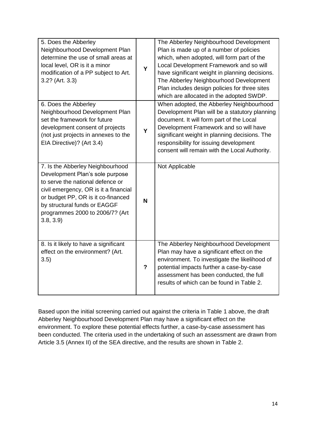| 5. Does the Abberley<br>Neighbourhood Development Plan<br>determine the use of small areas at<br>local level, OR is it a minor<br>modification of a PP subject to Art.<br>3.2? (Art. 3.3)                                                                             | Y              | The Abberley Neighbourhood Development<br>Plan is made up of a number of policies<br>which, when adopted, will form part of the<br>Local Development Framework and so will<br>have significant weight in planning decisions.<br>The Abberley Neighbourhood Development<br>Plan includes design policies for three sites<br>which are allocated in the adopted SWDP. |
|-----------------------------------------------------------------------------------------------------------------------------------------------------------------------------------------------------------------------------------------------------------------------|----------------|---------------------------------------------------------------------------------------------------------------------------------------------------------------------------------------------------------------------------------------------------------------------------------------------------------------------------------------------------------------------|
| 6. Does the Abberley<br>Neighbourhood Development Plan<br>set the framework for future<br>development consent of projects<br>(not just projects in annexes to the<br>EIA Directive)? (Art 3.4)                                                                        | Y              | When adopted, the Abberley Neighbourhood<br>Development Plan will be a statutory planning<br>document. It will form part of the Local<br>Development Framework and so will have<br>significant weight in planning decisions. The<br>responsibility for issuing development<br>consent will remain with the Local Authority.                                         |
| 7. Is the Abberley Neighbourhood<br>Development Plan's sole purpose<br>to serve the national defence or<br>civil emergency, OR is it a financial<br>or budget PP, OR is it co-financed<br>by structural funds or EAGGF<br>programmes 2000 to 2006/7? (Art<br>3.8, 3.9 | N              | Not Applicable                                                                                                                                                                                                                                                                                                                                                      |
| 8. Is it likely to have a significant<br>effect on the environment? (Art.<br>3.5)                                                                                                                                                                                     | $\overline{?}$ | The Abberley Neighbourhood Development<br>Plan may have a significant effect on the<br>environment. To investigate the likelihood of<br>potential impacts further a case-by-case<br>assessment has been conducted, the full<br>results of which can be found in Table 2.                                                                                            |

Based upon the initial screening carried out against the criteria in Table 1 above, the draft Abberley Neighbourhood Development Plan may have a significant effect on the environment. To explore these potential effects further, a case-by-case assessment has been conducted. The criteria used in the undertaking of such an assessment are drawn from Article 3.5 (Annex II) of the SEA directive, and the results are shown in Table 2.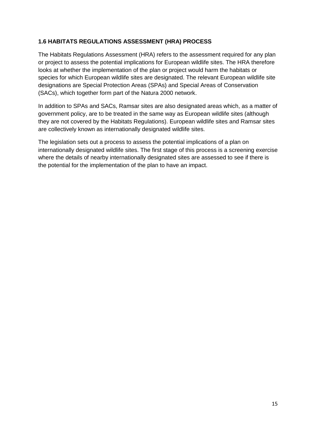## **1.6 HABITATS REGULATIONS ASSESSMENT (HRA) PROCESS**

The Habitats Regulations Assessment (HRA) refers to the assessment required for any plan or project to assess the potential implications for European wildlife sites. The HRA therefore looks at whether the implementation of the plan or project would harm the habitats or species for which European wildlife sites are designated. The relevant European wildlife site designations are Special Protection Areas (SPAs) and Special Areas of Conservation (SACs), which together form part of the Natura 2000 network.

In addition to SPAs and SACs, Ramsar sites are also designated areas which, as a matter of government policy, are to be treated in the same way as European wildlife sites (although they are not covered by the Habitats Regulations). European wildlife sites and Ramsar sites are collectively known as internationally designated wildlife sites.

The legislation sets out a process to assess the potential implications of a plan on internationally designated wildlife sites. The first stage of this process is a screening exercise where the details of nearby internationally designated sites are assessed to see if there is the potential for the implementation of the plan to have an impact.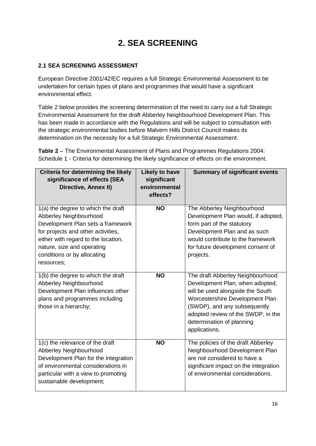# **2. SEA SCREENING**

## **2.1 SEA SCREENING ASSESSMENT**

European Directive 2001/42/EC requires a full Strategic Environmental Assessment to be undertaken for certain types of plans and programmes that would have a significant environmental effect.

Table 2 below provides the screening determination of the need to carry out a full Strategic Environmental Assessment for the draft Abberley Neighbourhood Development Plan. This has been made in accordance with the Regulations and will be subject to consultation with the strategic environmental bodies before Malvern Hills District Council makes its determination on the necessity for a full Strategic Environmental Assessment.

**Table 2** – The Environmental Assessment of Plans and Programmes Regulations 2004: Schedule 1 - Criteria for determining the likely significance of effects on the environment.

| Criteria for determining the likely<br>significance of effects (SEA<br>Directive, Annex II)                                                                                                                                                               | <b>Likely to have</b><br>significant<br>environmental<br>effects? | <b>Summary of significant events</b>                                                                                                                                                                                                                           |
|-----------------------------------------------------------------------------------------------------------------------------------------------------------------------------------------------------------------------------------------------------------|-------------------------------------------------------------------|----------------------------------------------------------------------------------------------------------------------------------------------------------------------------------------------------------------------------------------------------------------|
| 1(a) the degree to which the draft<br>Abberley Neighbourhood<br>Development Plan sets a framework<br>for projects and other activities,<br>either with regard to the location,<br>nature, size and operating<br>conditions or by allocating<br>resources; | <b>NO</b>                                                         | The Abberley Neighbourhood<br>Development Plan would, if adopted,<br>form part of the statutory<br>Development Plan and as such<br>would contribute to the framework<br>for future development consent of<br>projects.                                         |
| 1(b) the degree to which the draft<br>Abberley Neighbourhood<br>Development Plan influences other<br>plans and programmes including<br>those in a hierarchy;                                                                                              | <b>NO</b>                                                         | The draft Abberley Neighbourhood<br>Development Plan, when adopted,<br>will be used alongside the South<br>Worcestershire Development Plan<br>(SWDP), and any subsequently<br>adopted review of the SWDP, in the<br>determination of planning<br>applications. |
| 1(c) the relevance of the draft<br>Abberley Neighbourhood<br>Development Plan for the integration<br>of environmental considerations in<br>particular with a view to promoting<br>sustainable development;                                                | <b>NO</b>                                                         | The policies of the draft Abberley<br>Neighbourhood Development Plan<br>are not considered to have a<br>significant impact on the integration<br>of environmental considerations.                                                                              |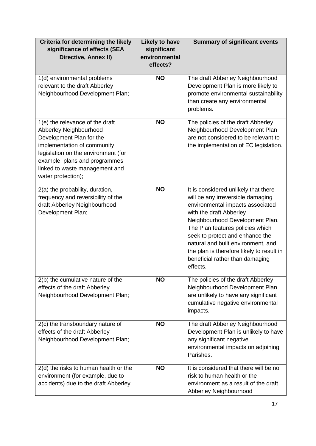| Criteria for determining the likely<br>significance of effects (SEA<br>Directive, Annex II)                                                                                                                                                          | <b>Likely to have</b><br>significant<br>environmental<br>effects? | <b>Summary of significant events</b>                                                                                                                                                                                                                                                                                                                                                 |
|------------------------------------------------------------------------------------------------------------------------------------------------------------------------------------------------------------------------------------------------------|-------------------------------------------------------------------|--------------------------------------------------------------------------------------------------------------------------------------------------------------------------------------------------------------------------------------------------------------------------------------------------------------------------------------------------------------------------------------|
| 1(d) environmental problems<br>relevant to the draft Abberley<br>Neighbourhood Development Plan;                                                                                                                                                     | <b>NO</b>                                                         | The draft Abberley Neighbourhood<br>Development Plan is more likely to<br>promote environmental sustainability<br>than create any environmental<br>problems.                                                                                                                                                                                                                         |
| 1(e) the relevance of the draft<br>Abberley Neighbourhood<br>Development Plan for the<br>implementation of community<br>legislation on the environment (for<br>example, plans and programmes<br>linked to waste management and<br>water protection); | <b>NO</b>                                                         | The policies of the draft Abberley<br>Neighbourhood Development Plan<br>are not considered to be relevant to<br>the implementation of EC legislation.                                                                                                                                                                                                                                |
| 2(a) the probability, duration,<br>frequency and reversibility of the<br>draft Abberley Neighbourhood<br>Development Plan;                                                                                                                           | <b>NO</b>                                                         | It is considered unlikely that there<br>will be any irreversible damaging<br>environmental impacts associated<br>with the draft Abberley<br>Neighbourhood Development Plan.<br>The Plan features policies which<br>seek to protect and enhance the<br>natural and built environment, and<br>the plan is therefore likely to result in<br>beneficial rather than damaging<br>effects. |
| 2(b) the cumulative nature of the<br>effects of the draft Abberley<br>Neighbourhood Development Plan;                                                                                                                                                | <b>NO</b>                                                         | The policies of the draft Abberley<br>Neighbourhood Development Plan<br>are unlikely to have any significant<br>cumulative negative environmental<br>impacts.                                                                                                                                                                                                                        |
| 2(c) the transboundary nature of<br>effects of the draft Abberley<br>Neighbourhood Development Plan;                                                                                                                                                 | <b>NO</b>                                                         | The draft Abberley Neighbourhood<br>Development Plan is unlikely to have<br>any significant negative<br>environmental impacts on adjoining<br>Parishes.                                                                                                                                                                                                                              |
| 2(d) the risks to human health or the<br>environment (for example, due to<br>accidents) due to the draft Abberley                                                                                                                                    | <b>NO</b>                                                         | It is considered that there will be no<br>risk to human health or the<br>environment as a result of the draft<br>Abberley Neighbourhood                                                                                                                                                                                                                                              |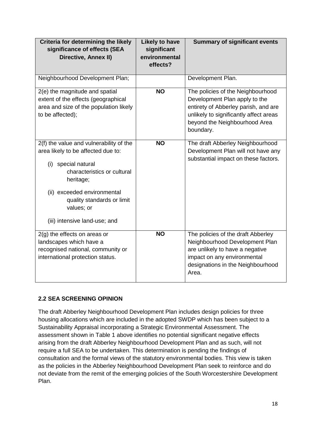| Criteria for determining the likely<br>significance of effects (SEA<br>Directive, Annex II)                                                                                                                                                                     | <b>Likely to have</b><br>significant<br>environmental<br>effects? | <b>Summary of significant events</b>                                                                                                                                                               |
|-----------------------------------------------------------------------------------------------------------------------------------------------------------------------------------------------------------------------------------------------------------------|-------------------------------------------------------------------|----------------------------------------------------------------------------------------------------------------------------------------------------------------------------------------------------|
| Neighbourhood Development Plan;                                                                                                                                                                                                                                 |                                                                   | Development Plan.                                                                                                                                                                                  |
| 2(e) the magnitude and spatial<br>extent of the effects (geographical<br>area and size of the population likely<br>to be affected);                                                                                                                             | <b>NO</b>                                                         | The policies of the Neighbourhood<br>Development Plan apply to the<br>entirety of Abberley parish, and are<br>unlikely to significantly affect areas<br>beyond the Neighbourhood Area<br>boundary. |
| 2(f) the value and vulnerability of the<br>area likely to be affected due to:<br>(i)<br>special natural<br>characteristics or cultural<br>heritage;<br>(ii) exceeded environmental<br>quality standards or limit<br>values; or<br>(iii) intensive land-use; and | <b>NO</b>                                                         | The draft Abberley Neighbourhood<br>Development Plan will not have any<br>substantial impact on these factors.                                                                                     |
| $2(g)$ the effects on areas or<br>landscapes which have a<br>recognised national, community or<br>international protection status.                                                                                                                              | <b>NO</b>                                                         | The policies of the draft Abberley<br>Neighbourhood Development Plan<br>are unlikely to have a negative<br>impact on any environmental<br>designations in the Neighbourhood<br>Area.               |

# **2.2 SEA SCREENING OPINION**

The draft Abberley Neighbourhood Development Plan includes design policies for three housing allocations which are included in the adopted SWDP which has been subject to a Sustainability Appraisal incorporating a Strategic Environmental Assessment. The assessment shown in Table 1 above identifies no potential significant negative effects arising from the draft Abberley Neighbourhood Development Plan and as such, will not require a full SEA to be undertaken. This determination is pending the findings of consultation and the formal views of the statutory environmental bodies. This view is taken as the policies in the Abberley Neighbourhood Development Plan seek to reinforce and do not deviate from the remit of the emerging policies of the South Worcestershire Development Plan.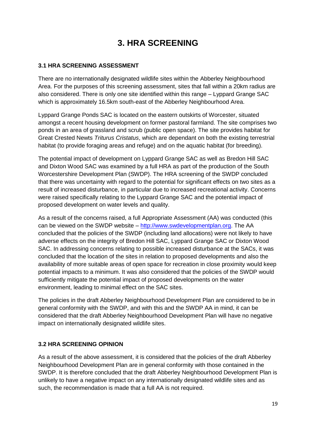# **3. HRA SCREENING**

#### **3.1 HRA SCREENING ASSESSMENT**

There are no internationally designated wildlife sites within the Abberley Neighbourhood Area. For the purposes of this screening assessment, sites that fall within a 20km radius are also considered. There is only one site identified within this range – Lyppard Grange SAC which is approximately 16.5km south-east of the Abberley Neighbourhood Area.

Lyppard Grange Ponds SAC is located on the eastern outskirts of Worcester, situated amongst a recent housing development on former pastoral farmland. The site comprises two ponds in an area of grassland and scrub (public open space). The site provides habitat for Great Crested Newts *Triturus Cristatus*, which are dependant on both the existing terrestrial habitat (to provide foraging areas and refuge) and on the aquatic habitat (for breeding).

The potential impact of development on Lyppard Grange SAC as well as Bredon Hill SAC and Dixton Wood SAC was examined by a full HRA as part of the production of the South Worcestershire Development Plan (SWDP). The HRA screening of the SWDP concluded that there was uncertainty with regard to the potential for significant effects on two sites as a result of increased disturbance, in particular due to increased recreational activity. Concerns were raised specifically relating to the Lyppard Grange SAC and the potential impact of proposed development on water levels and quality.

As a result of the concerns raised, a full Appropriate Assessment (AA) was conducted (this can be viewed on the SWDP website – [http://www.swdevelopmentplan.org.](http://www.swdevelopmentplan.org/) The AA concluded that the policies of the SWDP (including land allocations) were not likely to have adverse effects on the integrity of Bredon Hill SAC, Lyppard Grange SAC or Dixton Wood SAC. In addressing concerns relating to possible increased disturbance at the SACs, it was concluded that the location of the sites in relation to proposed developments and also the availability of more suitable areas of open space for recreation in close proximity would keep potential impacts to a minimum. It was also considered that the policies of the SWDP would sufficiently mitigate the potential impact of proposed developments on the water environment, leading to minimal effect on the SAC sites.

The policies in the draft Abberley Neighbourhood Development Plan are considered to be in general conformity with the SWDP, and with this and the SWDP AA in mind, it can be considered that the draft Abberley Neighbourhood Development Plan will have no negative impact on internationally designated wildlife sites.

#### **3.2 HRA SCREENING OPINION**

As a result of the above assessment, it is considered that the policies of the draft Abberley Neighbourhood Development Plan are in general conformity with those contained in the SWDP. It is therefore concluded that the draft Abberley Neighbourhood Development Plan is unlikely to have a negative impact on any internationally designated wildlife sites and as such, the recommendation is made that a full AA is not required.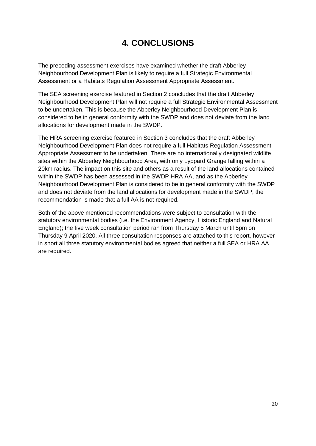# **4. CONCLUSIONS**

The preceding assessment exercises have examined whether the draft Abberley Neighbourhood Development Plan is likely to require a full Strategic Environmental Assessment or a Habitats Regulation Assessment Appropriate Assessment.

The SEA screening exercise featured in Section 2 concludes that the draft Abberley Neighbourhood Development Plan will not require a full Strategic Environmental Assessment to be undertaken. This is because the Abberley Neighbourhood Development Plan is considered to be in general conformity with the SWDP and does not deviate from the land allocations for development made in the SWDP.

The HRA screening exercise featured in Section 3 concludes that the draft Abberley Neighbourhood Development Plan does not require a full Habitats Regulation Assessment Appropriate Assessment to be undertaken. There are no internationally designated wildlife sites within the Abberley Neighbourhood Area, with only Lyppard Grange falling within a 20km radius. The impact on this site and others as a result of the land allocations contained within the SWDP has been assessed in the SWDP HRA AA, and as the Abberley Neighbourhood Development Plan is considered to be in general conformity with the SWDP and does not deviate from the land allocations for development made in the SWDP, the recommendation is made that a full AA is not required.

Both of the above mentioned recommendations were subject to consultation with the statutory environmental bodies (i.e. the Environment Agency, Historic England and Natural England); the five week consultation period ran from Thursday 5 March until 5pm on Thursday 9 April 2020. All three consultation responses are attached to this report, however in short all three statutory environmental bodies agreed that neither a full SEA or HRA AA are required.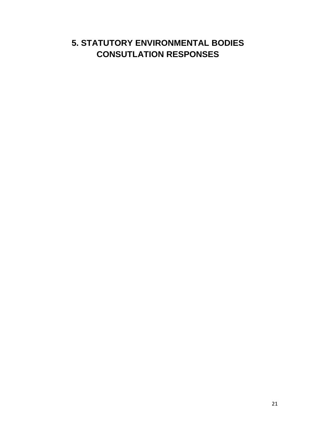# **5. STATUTORY ENVIRONMENTAL BODIES CONSUTLATION RESPONSES**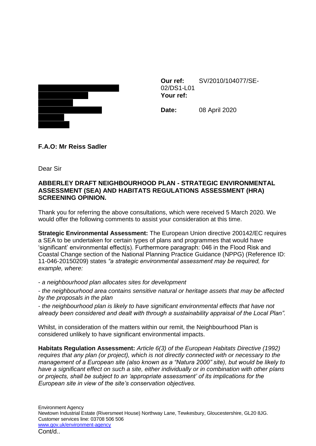

**Our ref:** SV/2010/104077/SE-02/DS1-L01 **Your ref:**

**Date:** 08 April 2020

**F.A.O: Mr Reiss Sadler**

Dear Sir

## **ABBERLEY DRAFT NEIGHBOURHOOD PLAN - STRATEGIC ENVIRONMENTAL ASSESSMENT (SEA) AND HABITATS REGULATIONS ASSESSMENT (HRA) SCREENING OPINION.**

Thank you for referring the above consultations, which were received 5 March 2020. We would offer the following comments to assist your consideration at this time.

**Strategic Environmental Assessment:** The European Union directive 200142/EC requires a SEA to be undertaken for certain types of plans and programmes that would have 'significant' environmental effect(s). Furthermore paragraph: 046 in the Flood Risk and Coastal Change section of the National Planning Practice Guidance (NPPG) (Reference ID: 11-046-20150209) states *"a strategic environmental assessment may be required, for example, where:* 

- *a neighbourhood plan allocates sites for development* 

- *the neighbourhood area contains sensitive natural or heritage assets that may be affected by the proposals in the plan* 

- *the neighbourhood plan is likely to have significant environmental effects that have not already been considered and dealt with through a sustainability appraisal of the Local Plan".* 

Whilst, in consideration of the matters within our remit, the Neighbourhood Plan is considered unlikely to have significant environmental impacts.

**Habitats Regulation Assessment:** *Article 6(3) of the European Habitats Directive (1992) requires that any plan (or project), which is not directly connected with or necessary to the management of a European site (also known as a "Natura 2000" site), but would be likely to have a significant effect on such a site, either individually or in combination with other plans or projects, shall be subject to an 'appropriate assessment' of its implications for the European site in view of the site's conservation objectives.*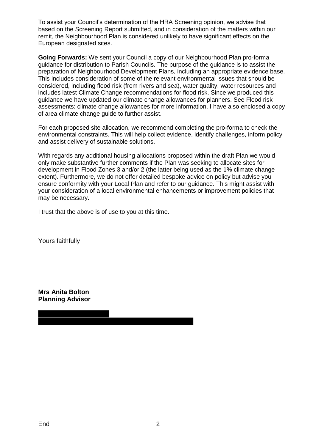To assist your Council's determination of the HRA Screening opinion, we advise that based on the Screening Report submitted, and in consideration of the matters within our remit, the Neighbourhood Plan is considered unlikely to have significant effects on the European designated sites.

**Going Forwards:** We sent your Council a copy of our Neighbourhood Plan pro-forma guidance for distribution to Parish Councils. The purpose of the guidance is to assist the preparation of Neighbourhood Development Plans, including an appropriate evidence base. This includes consideration of some of the relevant environmental issues that should be considered, including flood risk (from rivers and sea), water quality, water resources and includes latest Climate Change recommendations for flood risk. Since we produced this guidance we have updated our climate change allowances for planners. See Flood risk assessments: climate change allowances for more information. I have also enclosed a copy of area climate change guide to further assist.

For each proposed site allocation, we recommend completing the pro-forma to check the environmental constraints. This will help collect evidence, identify challenges, inform policy and assist delivery of sustainable solutions.

With regards any additional housing allocations proposed within the draft Plan we would only make substantive further comments if the Plan was seeking to allocate sites for development in Flood Zones 3 and/or 2 (the latter being used as the 1% climate change extent). Furthermore, we do not offer detailed bespoke advice on policy but advise you ensure conformity with your Local Plan and refer to our guidance. This might assist with your consideration of a local environmental enhancements or improvement policies that may be necessary.

I trust that the above is of use to you at this time.

Yours faithfully

**Mrs Anita Bolton Planning Advisor**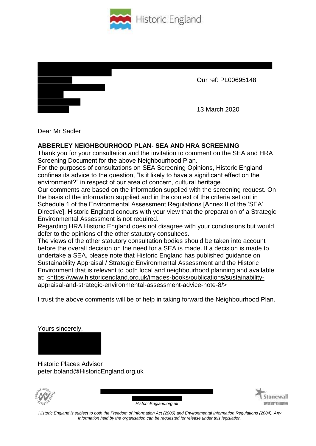



Our ref: PL00695148

13 March 2020

Dear Mr Sadler

# **ABBERLEY NEIGHBOURHOOD PLAN- SEA AND HRA SCREENING**

Thank you for your consultation and the invitation to comment on the SEA and HRA Screening Document for the above Neighbourhood Plan.

For the purposes of consultations on SEA Screening Opinions, Historic England confines its advice to the question, "Is it likely to have a significant effect on the environment?" in respect of our area of concern, cultural heritage.

Our comments are based on the information supplied with the screening request. On the basis of the information supplied and in the context of the criteria set out in Schedule 1 of the Environmental Assessment Regulations [Annex II of the 'SEA' Directive], Historic England concurs with your view that the preparation of a Strategic Environmental Assessment is not required.

Regarding HRA Historic England does not disagree with your conclusions but would defer to the opinions of the other statutory consultees.

The views of the other statutory consultation bodies should be taken into account before the overall decision on the need for a SEA is made. If a decision is made to undertake a SEA, please note that Historic England has published guidance on Sustainability Appraisal / Strategic Environmental Assessment and the Historic Environment that is relevant to both local and neighbourhood planning and available at: <https://www.historicengland.org.uk/images-books/publications/sustainabilityappraisal-and-strategic-environmental-assessment-advice-note-8/>

I trust the above comments will be of help in taking forward the Neighbourhood Plan.

Yours sincerely,

Historic Places Advisor peter.boland@HistoricEngland.org.uk



*HistoricEngland.org.uk*

*Historic England is subject to both the Freedom of Information Act (2000) and Environmental Information Regulations (2004). Any Information held by the organisation can be requested for release under this legislation.*